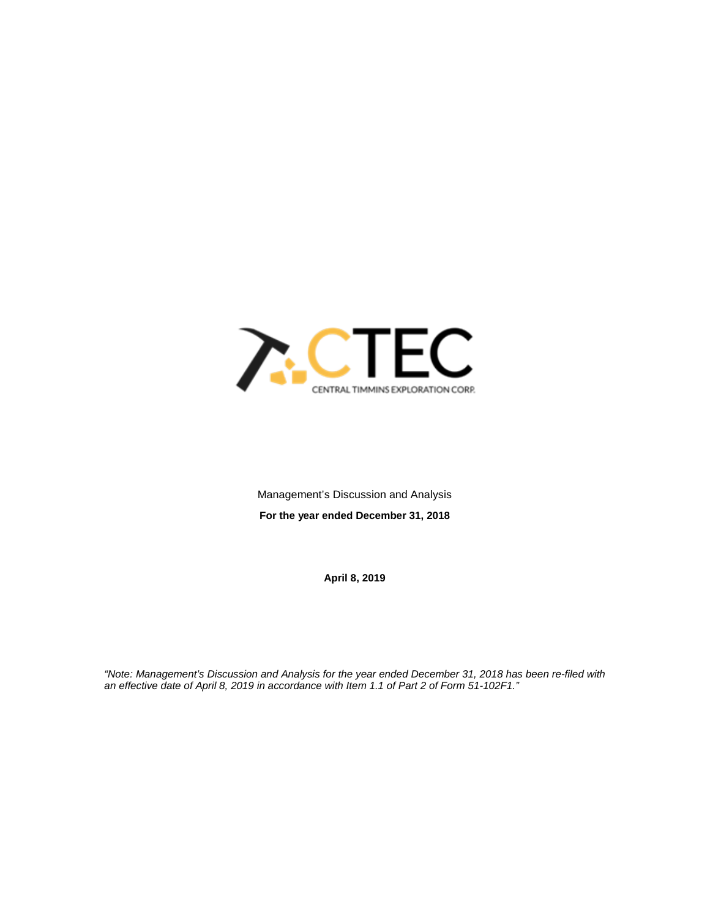

Management's Discussion and Analysis **For the year ended December 31, 2018**

**April 8, 2019**

*"Note: Management's Discussion and Analysis for the year ended December 31, 2018 has been re-filed with an effective date of April 8, 2019 in accordance with Item 1.1 of Part 2 of Form 51-102F1."*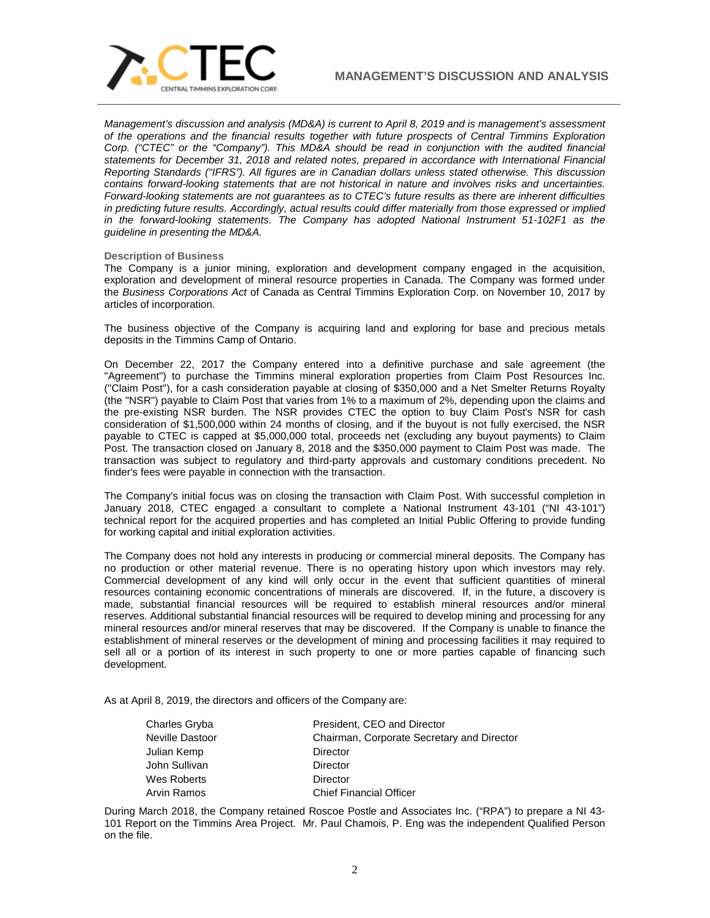

*Management's discussion and analysis (MD&A) is current to April 8, 2019 and is management's assessment of the operations and the financial results together with future prospects of Central Timmins Exploration Corp. ("CTEC" or the "Company"). This MD&A should be read in conjunction with the audited financial statements for December 31, 2018 and related notes, prepared in accordance with International Financial Reporting Standards ("IFRS"). All figures are in Canadian dollars unless stated otherwise. This discussion contains forward-looking statements that are not historical in nature and involves risks and uncertainties. Forward-looking statements are not guarantees as to CTEC's future results as there are inherent difficulties in predicting future results. Accordingly, actual results could differ materially from those expressed or implied in the forward-looking statements. The Company has adopted National Instrument 51-102F1 as the guideline in presenting the MD&A.* 

### **Description of Business**

The Company is a junior mining, exploration and development company engaged in the acquisition, exploration and development of mineral resource properties in Canada. The Company was formed under the *Business Corporations Act* of Canada as Central Timmins Exploration Corp. on November 10, 2017 by articles of incorporation.

The business objective of the Company is acquiring land and exploring for base and precious metals deposits in the Timmins Camp of Ontario.

On December 22, 2017 the Company entered into a definitive purchase and sale agreement (the "Agreement") to purchase the Timmins mineral exploration properties from Claim Post Resources Inc. ("Claim Post"), for a cash consideration payable at closing of \$350,000 and a Net Smelter Returns Royalty (the "NSR") payable to Claim Post that varies from 1% to a maximum of 2%, depending upon the claims and the pre-existing NSR burden. The NSR provides CTEC the option to buy Claim Post's NSR for cash consideration of \$1,500,000 within 24 months of closing, and if the buyout is not fully exercised, the NSR payable to CTEC is capped at \$5,000,000 total, proceeds net (excluding any buyout payments) to Claim Post. The transaction closed on January 8, 2018 and the \$350,000 payment to Claim Post was made. The transaction was subject to regulatory and third-party approvals and customary conditions precedent. No finder's fees were payable in connection with the transaction.

The Company's initial focus was on closing the transaction with Claim Post. With successful completion in January 2018, CTEC engaged a consultant to complete a National Instrument 43-101 ("NI 43-101") technical report for the acquired properties and has completed an Initial Public Offering to provide funding for working capital and initial exploration activities.

The Company does not hold any interests in producing or commercial mineral deposits. The Company has no production or other material revenue. There is no operating history upon which investors may rely. Commercial development of any kind will only occur in the event that sufficient quantities of mineral resources containing economic concentrations of minerals are discovered. If, in the future, a discovery is made, substantial financial resources will be required to establish mineral resources and/or mineral reserves. Additional substantial financial resources will be required to develop mining and processing for any mineral resources and/or mineral reserves that may be discovered. If the Company is unable to finance the establishment of mineral reserves or the development of mining and processing facilities it may required to sell all or a portion of its interest in such property to one or more parties capable of financing such development.

As at April 8, 2019, the directors and officers of the Company are:

| Charles Gryba   | President, CEO and Director                |
|-----------------|--------------------------------------------|
| Neville Dastoor | Chairman, Corporate Secretary and Director |
| Julian Kemp     | Director                                   |
| John Sullivan   | Director                                   |
| Wes Roberts     | Director                                   |
| Arvin Ramos     | <b>Chief Financial Officer</b>             |

During March 2018, the Company retained Roscoe Postle and Associates Inc. ("RPA") to prepare a NI 43- 101 Report on the Timmins Area Project. Mr. Paul Chamois, P. Eng was the independent Qualified Person on the file.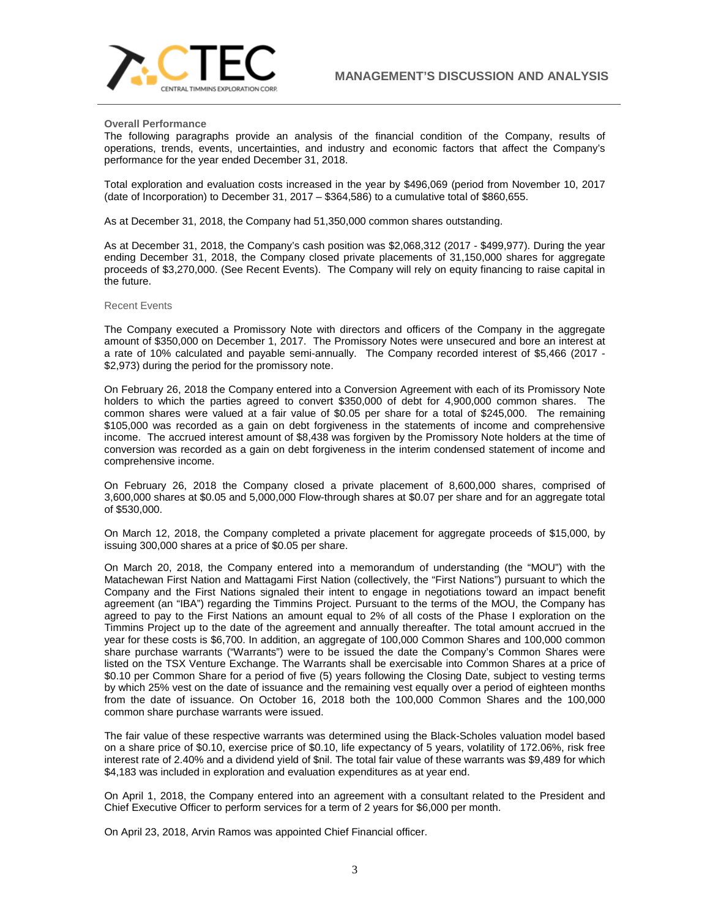

#### **Overall Performance**

The following paragraphs provide an analysis of the financial condition of the Company, results of operations, trends, events, uncertainties, and industry and economic factors that affect the Company's performance for the year ended December 31, 2018.

Total exploration and evaluation costs increased in the year by \$496,069 (period from November 10, 2017 (date of Incorporation) to December 31, 2017 – \$364,586) to a cumulative total of \$860,655.

As at December 31, 2018, the Company had 51,350,000 common shares outstanding.

As at December 31, 2018, the Company's cash position was \$2,068,312 (2017 - \$499,977). During the year ending December 31, 2018, the Company closed private placements of 31,150,000 shares for aggregate proceeds of \$3,270,000. (See Recent Events). The Company will rely on equity financing to raise capital in the future.

#### Recent Events

The Company executed a Promissory Note with directors and officers of the Company in the aggregate amount of \$350,000 on December 1, 2017. The Promissory Notes were unsecured and bore an interest at a rate of 10% calculated and payable semi-annually. The Company recorded interest of \$5,466 (2017 - \$2,973) during the period for the promissory note.

On February 26, 2018 the Company entered into a Conversion Agreement with each of its Promissory Note holders to which the parties agreed to convert \$350,000 of debt for 4,900,000 common shares. The common shares were valued at a fair value of \$0.05 per share for a total of \$245,000. The remaining \$105,000 was recorded as a gain on debt forgiveness in the statements of income and comprehensive income. The accrued interest amount of \$8,438 was forgiven by the Promissory Note holders at the time of conversion was recorded as a gain on debt forgiveness in the interim condensed statement of income and comprehensive income.

On February 26, 2018 the Company closed a private placement of 8,600,000 shares, comprised of 3,600,000 shares at \$0.05 and 5,000,000 Flow-through shares at \$0.07 per share and for an aggregate total of \$530,000.

On March 12, 2018, the Company completed a private placement for aggregate proceeds of \$15,000, by issuing 300,000 shares at a price of \$0.05 per share.

On March 20, 2018, the Company entered into a memorandum of understanding (the "MOU") with the Matachewan First Nation and Mattagami First Nation (collectively, the "First Nations") pursuant to which the Company and the First Nations signaled their intent to engage in negotiations toward an impact benefit agreement (an "IBA") regarding the Timmins Project. Pursuant to the terms of the MOU, the Company has agreed to pay to the First Nations an amount equal to 2% of all costs of the Phase I exploration on the Timmins Project up to the date of the agreement and annually thereafter. The total amount accrued in the year for these costs is \$6,700. In addition, an aggregate of 100,000 Common Shares and 100,000 common share purchase warrants ("Warrants") were to be issued the date the Company's Common Shares were listed on the TSX Venture Exchange. The Warrants shall be exercisable into Common Shares at a price of \$0.10 per Common Share for a period of five (5) years following the Closing Date, subject to vesting terms by which 25% vest on the date of issuance and the remaining vest equally over a period of eighteen months from the date of issuance. On October 16, 2018 both the 100,000 Common Shares and the 100,000 common share purchase warrants were issued.

The fair value of these respective warrants was determined using the Black-Scholes valuation model based on a share price of \$0.10, exercise price of \$0.10, life expectancy of 5 years, volatility of 172.06%, risk free interest rate of 2.40% and a dividend yield of \$nil. The total fair value of these warrants was \$9,489 for which \$4,183 was included in exploration and evaluation expenditures as at year end.

On April 1, 2018, the Company entered into an agreement with a consultant related to the President and Chief Executive Officer to perform services for a term of 2 years for \$6,000 per month.

On April 23, 2018, Arvin Ramos was appointed Chief Financial officer.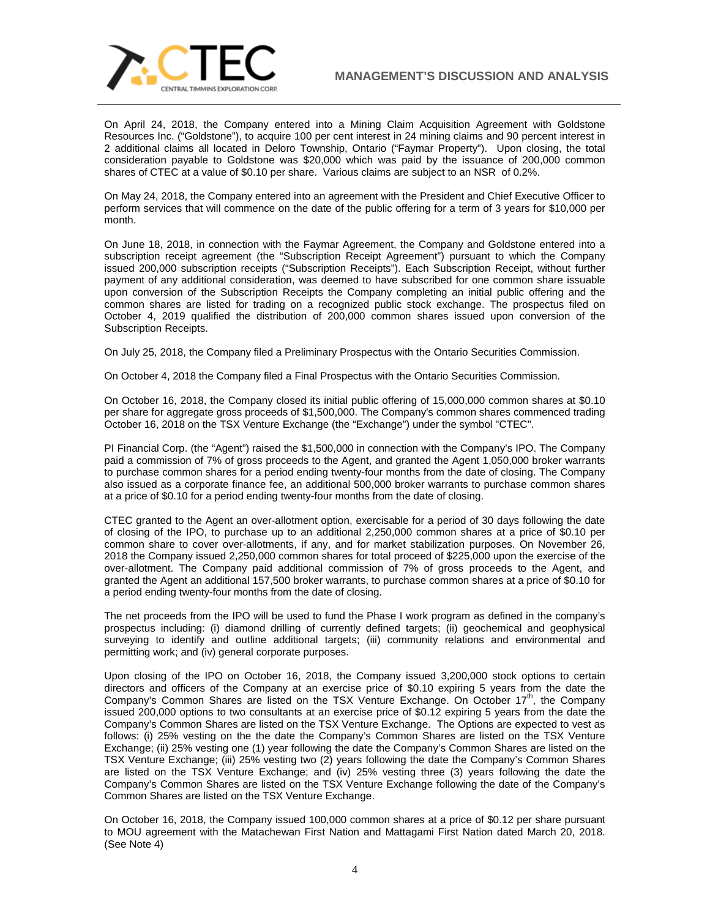

On April 24, 2018, the Company entered into a Mining Claim Acquisition Agreement with Goldstone Resources Inc. ("Goldstone"), to acquire 100 per cent interest in 24 mining claims and 90 percent interest in 2 additional claims all located in Deloro Township, Ontario ("Faymar Property"). Upon closing, the total consideration payable to Goldstone was \$20,000 which was paid by the issuance of 200,000 common shares of CTEC at a value of \$0.10 per share. Various claims are subject to an NSR of 0.2%.

On May 24, 2018, the Company entered into an agreement with the President and Chief Executive Officer to perform services that will commence on the date of the public offering for a term of 3 years for \$10,000 per month.

On June 18, 2018, in connection with the Faymar Agreement, the Company and Goldstone entered into a subscription receipt agreement (the "Subscription Receipt Agreement") pursuant to which the Company issued 200,000 subscription receipts ("Subscription Receipts"). Each Subscription Receipt, without further payment of any additional consideration, was deemed to have subscribed for one common share issuable upon conversion of the Subscription Receipts the Company completing an initial public offering and the common shares are listed for trading on a recognized public stock exchange. The prospectus filed on October 4, 2019 qualified the distribution of 200,000 common shares issued upon conversion of the Subscription Receipts.

On July 25, 2018, the Company filed a Preliminary Prospectus with the Ontario Securities Commission.

On October 4, 2018 the Company filed a Final Prospectus with the Ontario Securities Commission.

On October 16, 2018, the Company closed its initial public offering of 15,000,000 common shares at \$0.10 per share for aggregate gross proceeds of \$1,500,000. The Company's common shares commenced trading October 16, 2018 on the TSX Venture Exchange (the "Exchange") under the symbol "CTEC".

PI Financial Corp. (the "Agent") raised the \$1,500,000 in connection with the Company's IPO. The Company paid a commission of 7% of gross proceeds to the Agent, and granted the Agent 1,050,000 broker warrants to purchase common shares for a period ending twenty-four months from the date of closing. The Company also issued as a corporate finance fee, an additional 500,000 broker warrants to purchase common shares at a price of \$0.10 for a period ending twenty-four months from the date of closing.

CTEC granted to the Agent an over-allotment option, exercisable for a period of 30 days following the date of closing of the IPO, to purchase up to an additional 2,250,000 common shares at a price of \$0.10 per common share to cover over-allotments, if any, and for market stabilization purposes. On November 26, 2018 the Company issued 2,250,000 common shares for total proceed of \$225,000 upon the exercise of the over-allotment. The Company paid additional commission of 7% of gross proceeds to the Agent, and granted the Agent an additional 157,500 broker warrants, to purchase common shares at a price of \$0.10 for a period ending twenty-four months from the date of closing.

The net proceeds from the IPO will be used to fund the Phase I work program as defined in the company's prospectus including: (i) diamond drilling of currently defined targets; (ii) geochemical and geophysical surveying to identify and outline additional targets; (iii) community relations and environmental and permitting work; and (iv) general corporate purposes.

Upon closing of the IPO on October 16, 2018, the Company issued 3,200,000 stock options to certain directors and officers of the Company at an exercise price of \$0.10 expiring 5 years from the date the Company's Common Shares are listed on the TSX Venture Exchange. On October  $17<sup>th</sup>$ , the Company issued 200,000 options to two consultants at an exercise price of \$0.12 expiring 5 years from the date the Company's Common Shares are listed on the TSX Venture Exchange. The Options are expected to vest as follows: (i) 25% vesting on the the date the Company's Common Shares are listed on the TSX Venture Exchange; (ii) 25% vesting one (1) year following the date the Company's Common Shares are listed on the TSX Venture Exchange; (iii) 25% vesting two (2) years following the date the Company's Common Shares are listed on the TSX Venture Exchange; and (iv) 25% vesting three (3) years following the date the Company's Common Shares are listed on the TSX Venture Exchange following the date of the Company's Common Shares are listed on the TSX Venture Exchange.

On October 16, 2018, the Company issued 100,000 common shares at a price of \$0.12 per share pursuant to MOU agreement with the Matachewan First Nation and Mattagami First Nation dated March 20, 2018. (See Note 4)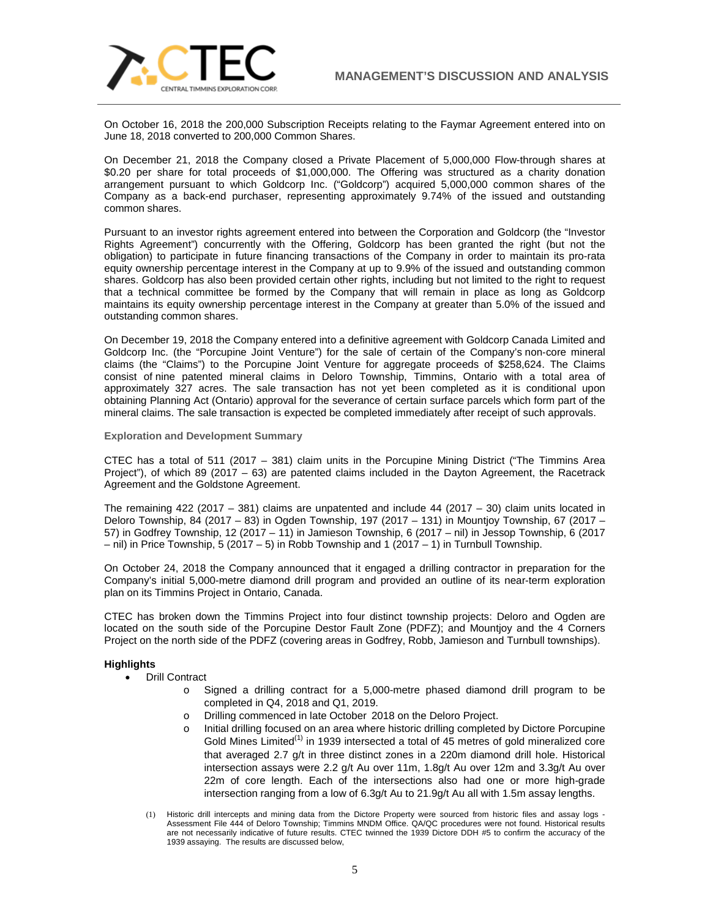

On October 16, 2018 the 200,000 Subscription Receipts relating to the Faymar Agreement entered into on June 18, 2018 converted to 200,000 Common Shares.

On December 21, 2018 the Company closed a Private Placement of 5,000,000 Flow-through shares at \$0.20 per share for total proceeds of \$1,000,000. The Offering was structured as a charity donation arrangement pursuant to which Goldcorp Inc. ("Goldcorp") acquired 5,000,000 common shares of the Company as a back-end purchaser, representing approximately 9.74% of the issued and outstanding common shares.

Pursuant to an investor rights agreement entered into between the Corporation and Goldcorp (the "Investor Rights Agreement") concurrently with the Offering, Goldcorp has been granted the right (but not the obligation) to participate in future financing transactions of the Company in order to maintain its pro-rata equity ownership percentage interest in the Company at up to 9.9% of the issued and outstanding common shares. Goldcorp has also been provided certain other rights, including but not limited to the right to request that a technical committee be formed by the Company that will remain in place as long as Goldcorp maintains its equity ownership percentage interest in the Company at greater than 5.0% of the issued and outstanding common shares.

On December 19, 2018 the Company entered into a definitive agreement with Goldcorp Canada Limited and Goldcorp Inc. (the "Porcupine Joint Venture") for the sale of certain of the Company's non‐core mineral claims (the "Claims") to the Porcupine Joint Venture for aggregate proceeds of \$258,624. The Claims consist of nine patented mineral claims in Deloro Township, Timmins, Ontario with a total area of approximately 327 acres. The sale transaction has not yet been completed as it is conditional upon obtaining Planning Act (Ontario) approval for the severance of certain surface parcels which form part of the mineral claims. The sale transaction is expected be completed immediately after receipt of such approvals.

**Exploration and Development Summary**

CTEC has a total of 511 (2017 – 381) claim units in the Porcupine Mining District ("The Timmins Area Project"), of which 89 (2017 – 63) are patented claims included in the Dayton Agreement, the Racetrack Agreement and the Goldstone Agreement.

The remaining  $422$  (2017 – 381) claims are unpatented and include  $44$  (2017 – 30) claim units located in Deloro Township, 84 (2017 – 83) in Ogden Township, 197 (2017 – 131) in Mountjoy Township, 67 (2017 – 57) in Godfrey Township, 12 (2017 – 11) in Jamieson Township, 6 (2017 – nil) in Jessop Township, 6 (2017 – nil) in Price Township, 5 (2017 – 5) in Robb Township and 1 (2017 – 1) in Turnbull Township.

On October 24, 2018 the Company announced that it engaged a drilling contractor in preparation for the Company's initial 5,000-metre diamond drill program and provided an outline of its near-term exploration plan on its Timmins Project in Ontario, Canada.

CTEC has broken down the Timmins Project into four distinct township projects: Deloro and Ogden are located on the south side of the Porcupine Destor Fault Zone (PDFZ); and Mountjoy and the 4 Corners Project on the north side of the PDFZ (covering areas in Godfrey, Robb, Jamieson and Turnbull townships).

### **Highlights**

- Drill Contract
	- o Signed a drilling contract for a 5,000-metre phased diamond drill program to be completed in Q4, 2018 and Q1, 2019.
	- o Drilling commenced in late October 2018 on the Deloro Project.
	- o Initial drilling focused on an area where historic drilling completed by Dictore Porcupine Gold Mines Limited<sup>(1)</sup> in 1939 intersected a total of 45 metres of gold mineralized core that averaged 2.7 g/t in three distinct zones in a 220m diamond drill hole. Historical intersection assays were 2.2 g/t Au over 11m, 1.8g/t Au over 12m and 3.3g/t Au over 22m of core length. Each of the intersections also had one or more high-grade intersection ranging from a low of 6.3g/t Au to 21.9g/t Au all with 1.5m assay lengths.
	- (1) Historic drill intercepts and mining data from the Dictore Property were sourced from historic files and assay logs Assessment File 444 of Deloro Township; Timmins MNDM Office. QA/QC procedures were not found. Historical results are not necessarily indicative of future results. CTEC twinned the 1939 Dictore DDH #5 to confirm the accuracy of the 1939 assaying. The results are discussed below,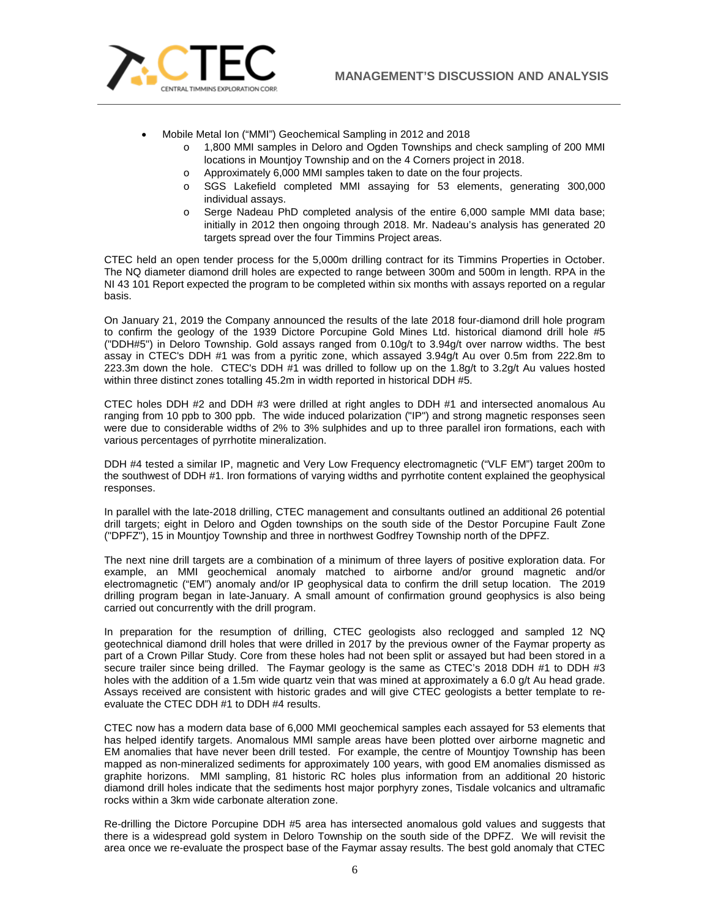

- Mobile Metal Ion ("MMI") Geochemical Sampling in 2012 and 2018
	- o 1,800 MMI samples in Deloro and Ogden Townships and check sampling of 200 MMI locations in Mountjoy Township and on the 4 Corners project in 2018.
	- o Approximately 6,000 MMI samples taken to date on the four projects.
	- o SGS Lakefield completed MMI assaying for 53 elements, generating 300,000 individual assays.
	- o Serge Nadeau PhD completed analysis of the entire 6,000 sample MMI data base; initially in 2012 then ongoing through 2018. Mr. Nadeau's analysis has generated 20 targets spread over the four Timmins Project areas.

CTEC held an open tender process for the 5,000m drilling contract for its Timmins Properties in October. The NQ diameter diamond drill holes are expected to range between 300m and 500m in length. RPA in the NI 43 101 Report expected the program to be completed within six months with assays reported on a regular basis.

On January 21, 2019 the Company announced the results of the late 2018 four-diamond drill hole program to confirm the geology of the 1939 Dictore Porcupine Gold Mines Ltd. historical diamond drill hole #5 ("DDH#5") in Deloro Township. Gold assays ranged from 0.10g/t to 3.94g/t over narrow widths. The best assay in CTEC's DDH #1 was from a pyritic zone, which assayed 3.94g/t Au over 0.5m from 222.8m to 223.3m down the hole. CTEC's DDH #1 was drilled to follow up on the 1.8g/t to 3.2g/t Au values hosted within three distinct zones totalling 45.2m in width reported in historical DDH #5.

CTEC holes DDH #2 and DDH #3 were drilled at right angles to DDH #1 and intersected anomalous Au ranging from 10 ppb to 300 ppb. The wide induced polarization ("IP") and strong magnetic responses seen were due to considerable widths of 2% to 3% sulphides and up to three parallel iron formations, each with various percentages of pyrrhotite mineralization.

DDH #4 tested a similar IP, magnetic and Very Low Frequency electromagnetic ("VLF EM") target 200m to the southwest of DDH #1. Iron formations of varying widths and pyrrhotite content explained the geophysical responses.

In parallel with the late-2018 drilling, CTEC management and consultants outlined an additional 26 potential drill targets; eight in Deloro and Ogden townships on the south side of the Destor Porcupine Fault Zone ("DPFZ"), 15 in Mountjoy Township and three in northwest Godfrey Township north of the DPFZ.

The next nine drill targets are a combination of a minimum of three layers of positive exploration data. For example, an MMI geochemical anomaly matched to airborne and/or ground magnetic and/or electromagnetic ("EM") anomaly and/or IP geophysical data to confirm the drill setup location. The 2019 drilling program began in late-January. A small amount of confirmation ground geophysics is also being carried out concurrently with the drill program.

In preparation for the resumption of drilling, CTEC geologists also reclogged and sampled 12 NQ geotechnical diamond drill holes that were drilled in 2017 by the previous owner of the Faymar property as part of a Crown Pillar Study. Core from these holes had not been split or assayed but had been stored in a secure trailer since being drilled. The Faymar geology is the same as CTEC's 2018 DDH #1 to DDH #3 holes with the addition of a 1.5m wide quartz vein that was mined at approximately a 6.0 g/t Au head grade. Assays received are consistent with historic grades and will give CTEC geologists a better template to reevaluate the CTEC DDH #1 to DDH #4 results.

CTEC now has a modern data base of 6,000 MMI geochemical samples each assayed for 53 elements that has helped identify targets. Anomalous MMI sample areas have been plotted over airborne magnetic and EM anomalies that have never been drill tested. For example, the centre of Mountjoy Township has been mapped as non-mineralized sediments for approximately 100 years, with good EM anomalies dismissed as graphite horizons. MMI sampling, 81 historic RC holes plus information from an additional 20 historic diamond drill holes indicate that the sediments host major porphyry zones, Tisdale volcanics and ultramafic rocks within a 3km wide carbonate alteration zone.

Re-drilling the Dictore Porcupine DDH #5 area has intersected anomalous gold values and suggests that there is a widespread gold system in Deloro Township on the south side of the DPFZ. We will revisit the area once we re-evaluate the prospect base of the Faymar assay results. The best gold anomaly that CTEC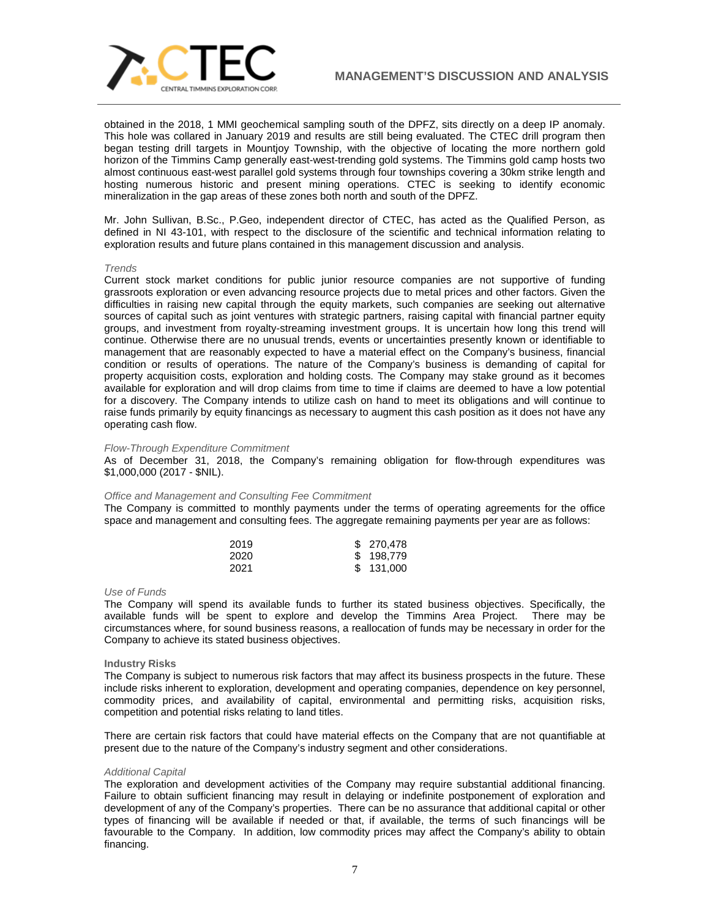

obtained in the 2018, 1 MMI geochemical sampling south of the DPFZ, sits directly on a deep IP anomaly. This hole was collared in January 2019 and results are still being evaluated. The CTEC drill program then began testing drill targets in Mountjoy Township, with the objective of locating the more northern gold horizon of the Timmins Camp generally east-west-trending gold systems. The Timmins gold camp hosts two almost continuous east-west parallel gold systems through four townships covering a 30km strike length and hosting numerous historic and present mining operations. CTEC is seeking to identify economic mineralization in the gap areas of these zones both north and south of the DPFZ.

Mr. John Sullivan, B.Sc., P.Geo, independent director of CTEC, has acted as the Qualified Person, as defined in NI 43-101, with respect to the disclosure of the scientific and technical information relating to exploration results and future plans contained in this management discussion and analysis.

### *Trends*

Current stock market conditions for public junior resource companies are not supportive of funding grassroots exploration or even advancing resource projects due to metal prices and other factors. Given the difficulties in raising new capital through the equity markets, such companies are seeking out alternative sources of capital such as joint ventures with strategic partners, raising capital with financial partner equity groups, and investment from royalty-streaming investment groups. It is uncertain how long this trend will continue. Otherwise there are no unusual trends, events or uncertainties presently known or identifiable to management that are reasonably expected to have a material effect on the Company's business, financial condition or results of operations. The nature of the Company's business is demanding of capital for property acquisition costs, exploration and holding costs. The Company may stake ground as it becomes available for exploration and will drop claims from time to time if claims are deemed to have a low potential for a discovery. The Company intends to utilize cash on hand to meet its obligations and will continue to raise funds primarily by equity financings as necessary to augment this cash position as it does not have any operating cash flow.

### *Flow-Through Expenditure Commitment*

As of December 31, 2018, the Company's remaining obligation for flow-through expenditures was \$1,000,000 (2017 - \$NIL).

## *Office and Management and Consulting Fee Commitment*

The Company is committed to monthly payments under the terms of operating agreements for the office space and management and consulting fees. The aggregate remaining payments per year are as follows:

| 2019 | \$ 270,478 |
|------|------------|
| 2020 | \$198,779  |
| 2021 | \$131,000  |

## *Use of Funds*

The Company will spend its available funds to further its stated business objectives. Specifically, the available funds will be spent to explore and develop the Timmins Area Project. There may be circumstances where, for sound business reasons, a reallocation of funds may be necessary in order for the Company to achieve its stated business objectives.

### **Industry Risks**

The Company is subject to numerous risk factors that may affect its business prospects in the future. These include risks inherent to exploration, development and operating companies, dependence on key personnel, commodity prices, and availability of capital, environmental and permitting risks, acquisition risks, competition and potential risks relating to land titles.

There are certain risk factors that could have material effects on the Company that are not quantifiable at present due to the nature of the Company's industry segment and other considerations.

### *Additional Capital*

The exploration and development activities of the Company may require substantial additional financing. Failure to obtain sufficient financing may result in delaying or indefinite postponement of exploration and development of any of the Company's properties. There can be no assurance that additional capital or other types of financing will be available if needed or that, if available, the terms of such financings will be favourable to the Company. In addition, low commodity prices may affect the Company's ability to obtain financing.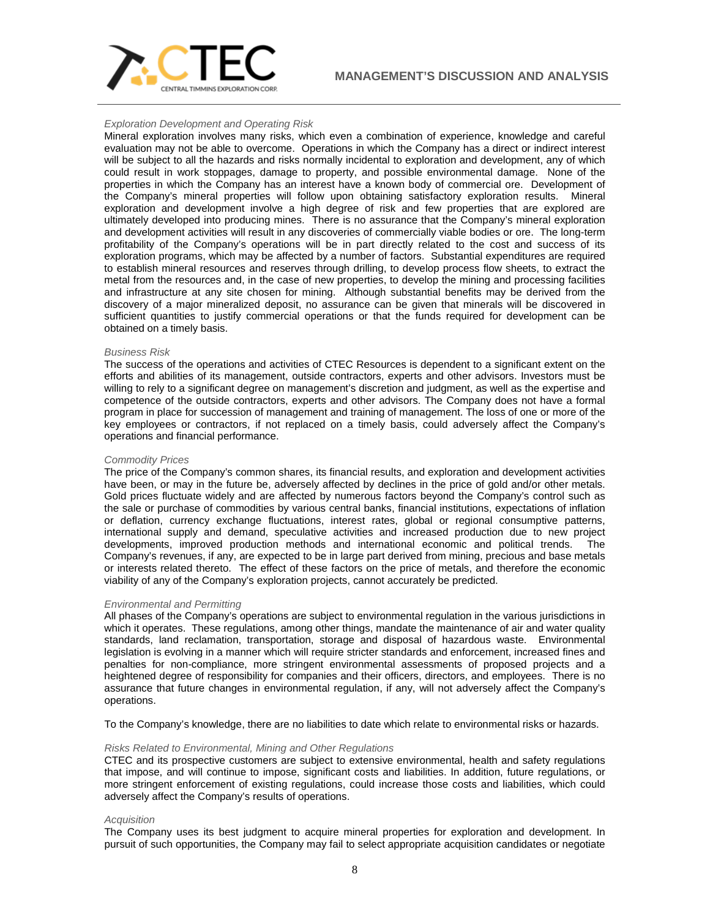

#### *Exploration Development and Operating Risk*

Mineral exploration involves many risks, which even a combination of experience, knowledge and careful evaluation may not be able to overcome. Operations in which the Company has a direct or indirect interest will be subject to all the hazards and risks normally incidental to exploration and development, any of which could result in work stoppages, damage to property, and possible environmental damage. None of the properties in which the Company has an interest have a known body of commercial ore. Development of the Company's mineral properties will follow upon obtaining satisfactory exploration results. Mineral exploration and development involve a high degree of risk and few properties that are explored are ultimately developed into producing mines. There is no assurance that the Company's mineral exploration and development activities will result in any discoveries of commercially viable bodies or ore. The long-term profitability of the Company's operations will be in part directly related to the cost and success of its exploration programs, which may be affected by a number of factors. Substantial expenditures are required to establish mineral resources and reserves through drilling, to develop process flow sheets, to extract the metal from the resources and, in the case of new properties, to develop the mining and processing facilities and infrastructure at any site chosen for mining. Although substantial benefits may be derived from the discovery of a major mineralized deposit, no assurance can be given that minerals will be discovered in sufficient quantities to justify commercial operations or that the funds required for development can be obtained on a timely basis.

#### *Business Risk*

The success of the operations and activities of CTEC Resources is dependent to a significant extent on the efforts and abilities of its management, outside contractors, experts and other advisors. Investors must be willing to rely to a significant degree on management's discretion and judgment, as well as the expertise and competence of the outside contractors, experts and other advisors. The Company does not have a formal program in place for succession of management and training of management. The loss of one or more of the key employees or contractors, if not replaced on a timely basis, could adversely affect the Company's operations and financial performance.

#### *Commodity Prices*

The price of the Company's common shares, its financial results, and exploration and development activities have been, or may in the future be, adversely affected by declines in the price of gold and/or other metals. Gold prices fluctuate widely and are affected by numerous factors beyond the Company's control such as the sale or purchase of commodities by various central banks, financial institutions, expectations of inflation or deflation, currency exchange fluctuations, interest rates, global or regional consumptive patterns, international supply and demand, speculative activities and increased production due to new project developments, improved production methods and international economic and political trends. The Company's revenues, if any, are expected to be in large part derived from mining, precious and base metals or interests related thereto. The effect of these factors on the price of metals, and therefore the economic viability of any of the Company's exploration projects, cannot accurately be predicted.

#### *Environmental and Permitting*

All phases of the Company's operations are subject to environmental regulation in the various jurisdictions in which it operates. These regulations, among other things, mandate the maintenance of air and water quality standards, land reclamation, transportation, storage and disposal of hazardous waste. Environmental legislation is evolving in a manner which will require stricter standards and enforcement, increased fines and penalties for non-compliance, more stringent environmental assessments of proposed projects and a heightened degree of responsibility for companies and their officers, directors, and employees. There is no assurance that future changes in environmental regulation, if any, will not adversely affect the Company's operations.

To the Company's knowledge, there are no liabilities to date which relate to environmental risks or hazards.

#### *Risks Related to Environmental, Mining and Other Regulations*

CTEC and its prospective customers are subject to extensive environmental, health and safety regulations that impose, and will continue to impose, significant costs and liabilities. In addition, future regulations, or more stringent enforcement of existing regulations, could increase those costs and liabilities, which could adversely affect the Company's results of operations.

#### *Acquisition*

The Company uses its best judgment to acquire mineral properties for exploration and development. In pursuit of such opportunities, the Company may fail to select appropriate acquisition candidates or negotiate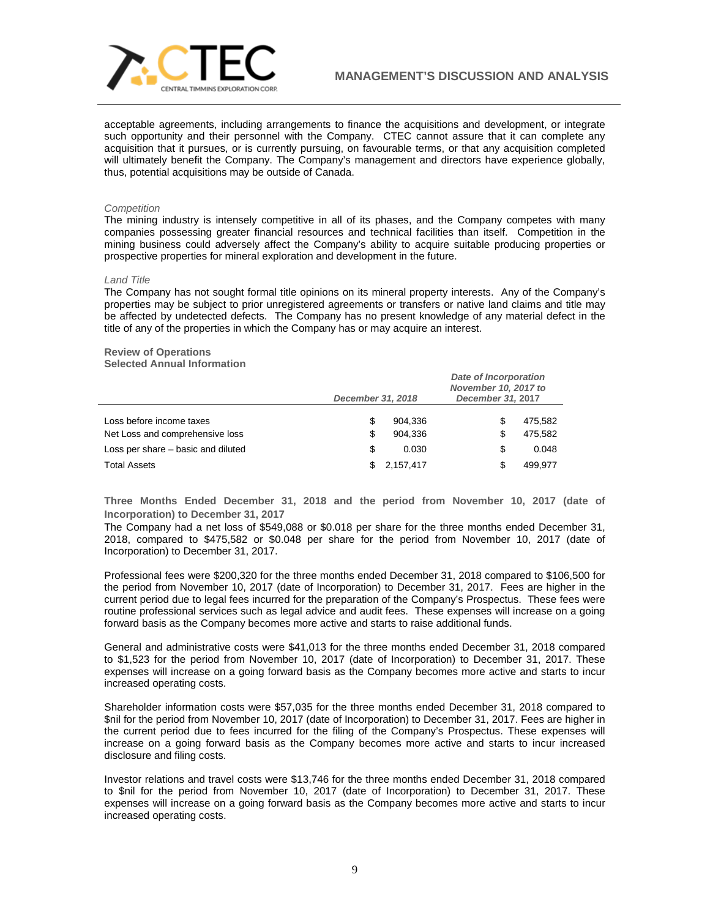

acceptable agreements, including arrangements to finance the acquisitions and development, or integrate such opportunity and their personnel with the Company. CTEC cannot assure that it can complete any acquisition that it pursues, or is currently pursuing, on favourable terms, or that any acquisition completed will ultimately benefit the Company. The Company's management and directors have experience globally, thus, potential acquisitions may be outside of Canada.

### *Competition*

The mining industry is intensely competitive in all of its phases, and the Company competes with many companies possessing greater financial resources and technical facilities than itself. Competition in the mining business could adversely affect the Company's ability to acquire suitable producing properties or prospective properties for mineral exploration and development in the future.

#### *Land Title*

The Company has not sought formal title opinions on its mineral property interests. Any of the Company's properties may be subject to prior unregistered agreements or transfers or native land claims and title may be affected by undetected defects. The Company has no present knowledge of any material defect in the title of any of the properties in which the Company has or may acquire an interest.

# **Review of Operations**

**Selected Annual Information**

|                                    | December 31, 2018 |           | Date of Incorporation<br>November 10, 2017 to<br>December 31, 2017 |         |
|------------------------------------|-------------------|-----------|--------------------------------------------------------------------|---------|
| Loss before income taxes           | S                 | 904.336   |                                                                    | 475.582 |
| Net Loss and comprehensive loss    | S                 | 904.336   |                                                                    | 475.582 |
| Loss per share – basic and diluted | S                 | 0.030     | S                                                                  | 0.048   |
| <b>Total Assets</b>                | S.                | 2,157,417 |                                                                    | 499.977 |

**Three Months Ended December 31, 2018 and the period from November 10, 2017 (date of Incorporation) to December 31, 2017**

The Company had a net loss of \$549,088 or \$0.018 per share for the three months ended December 31, 2018, compared to \$475,582 or \$0.048 per share for the period from November 10, 2017 (date of Incorporation) to December 31, 2017.

Professional fees were \$200,320 for the three months ended December 31, 2018 compared to \$106,500 for the period from November 10, 2017 (date of Incorporation) to December 31, 2017. Fees are higher in the current period due to legal fees incurred for the preparation of the Company's Prospectus. These fees were routine professional services such as legal advice and audit fees. These expenses will increase on a going forward basis as the Company becomes more active and starts to raise additional funds.

General and administrative costs were \$41,013 for the three months ended December 31, 2018 compared to \$1,523 for the period from November 10, 2017 (date of Incorporation) to December 31, 2017. These expenses will increase on a going forward basis as the Company becomes more active and starts to incur increased operating costs.

Shareholder information costs were \$57,035 for the three months ended December 31, 2018 compared to \$nil for the period from November 10, 2017 (date of Incorporation) to December 31, 2017. Fees are higher in the current period due to fees incurred for the filing of the Company's Prospectus. These expenses will increase on a going forward basis as the Company becomes more active and starts to incur increased disclosure and filing costs.

Investor relations and travel costs were \$13,746 for the three months ended December 31, 2018 compared to \$nil for the period from November 10, 2017 (date of Incorporation) to December 31, 2017. These expenses will increase on a going forward basis as the Company becomes more active and starts to incur increased operating costs.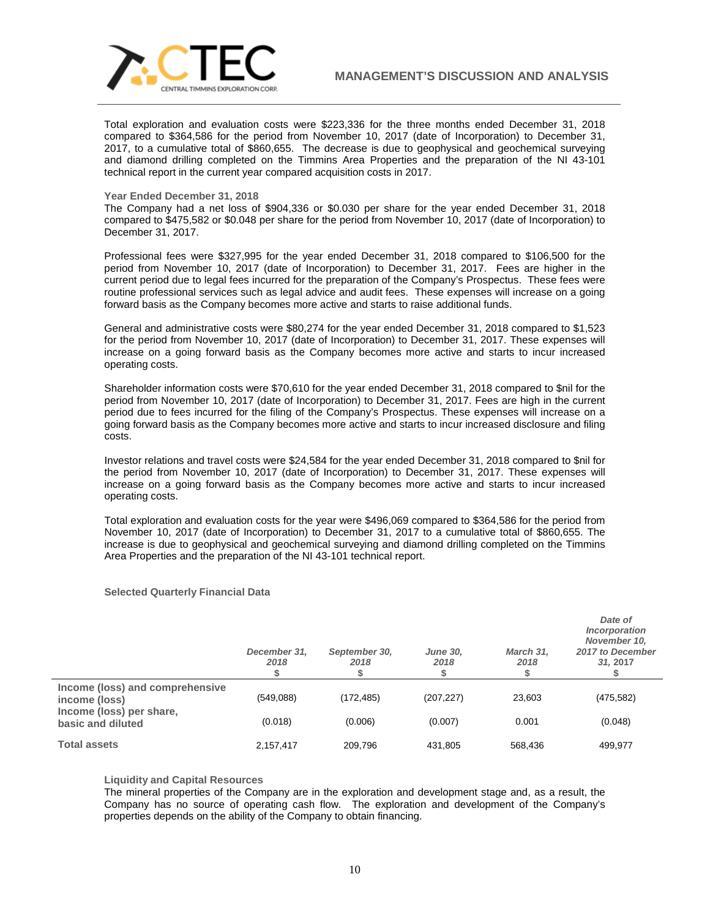

Total exploration and evaluation costs were \$223,336 for the three months ended December 31, 2018 compared to \$364,586 for the period from November 10, 2017 (date of Incorporation) to December 31, 2017, to a cumulative total of \$860,655. The decrease is due to geophysical and geochemical surveying and diamond drilling completed on the Timmins Area Properties and the preparation of the NI 43-101 technical report in the current year compared acquisition costs in 2017.

#### **Year Ended December 31, 2018**

The Company had a net loss of \$904,336 or \$0.030 per share for the year ended December 31, 2018 compared to \$475,582 or \$0.048 per share for the period from November 10, 2017 (date of Incorporation) to December 31, 2017.

Professional fees were \$327,995 for the year ended December 31, 2018 compared to \$106,500 for the period from November 10, 2017 (date of Incorporation) to December 31, 2017. Fees are higher in the current period due to legal fees incurred for the preparation of the Company's Prospectus. These fees were routine professional services such as legal advice and audit fees. These expenses will increase on a going forward basis as the Company becomes more active and starts to raise additional funds.

General and administrative costs were \$80,274 for the year ended December 31, 2018 compared to \$1,523 for the period from November 10, 2017 (date of Incorporation) to December 31, 2017. These expenses will increase on a going forward basis as the Company becomes more active and starts to incur increased operating costs.

Shareholder information costs were \$70,610 for the year ended December 31, 2018 compared to \$nil for the period from November 10, 2017 (date of Incorporation) to December 31, 2017. Fees are high in the current period due to fees incurred for the filing of the Company's Prospectus. These expenses will increase on a going forward basis as the Company becomes more active and starts to incur increased disclosure and filing costs.

Investor relations and travel costs were \$24,584 for the year ended December 31, 2018 compared to \$nil for the period from November 10, 2017 (date of Incorporation) to December 31, 2017. These expenses will increase on a going forward basis as the Company becomes more active and starts to incur increased operating costs.

Total exploration and evaluation costs for the year were \$496,069 compared to \$364,586 for the period from November 10, 2017 (date of Incorporation) to December 31, 2017 to a cumulative total of \$860,655. The increase is due to geophysical and geochemical surveying and diamond drilling completed on the Timmins Area Properties and the preparation of the NI 43-101 technical report.

## **Selected Quarterly Financial Data**

|                                                  | December 31,<br>2018 | September 30,<br>2018 | <b>June 30,</b><br>2018 | March 31,<br>2018 | Date of<br>Incorporation<br>November 10,<br>2017 to December<br>31.2017 |
|--------------------------------------------------|----------------------|-----------------------|-------------------------|-------------------|-------------------------------------------------------------------------|
| Income (loss) and comprehensive<br>income (loss) | (549,088)            | (172, 485)            | (207, 227)              | 23,603            | (475, 582)                                                              |
| Income (loss) per share,<br>basic and diluted    | (0.018)              | (0.006)               | (0.007)                 | 0.001             | (0.048)                                                                 |
| <b>Total assets</b>                              | 2,157,417            | 209.796               | 431.805                 | 568.436           | 499,977                                                                 |

### **Liquidity and Capital Resources**

The mineral properties of the Company are in the exploration and development stage and, as a result, the Company has no source of operating cash flow. The exploration and development of the Company's properties depends on the ability of the Company to obtain financing.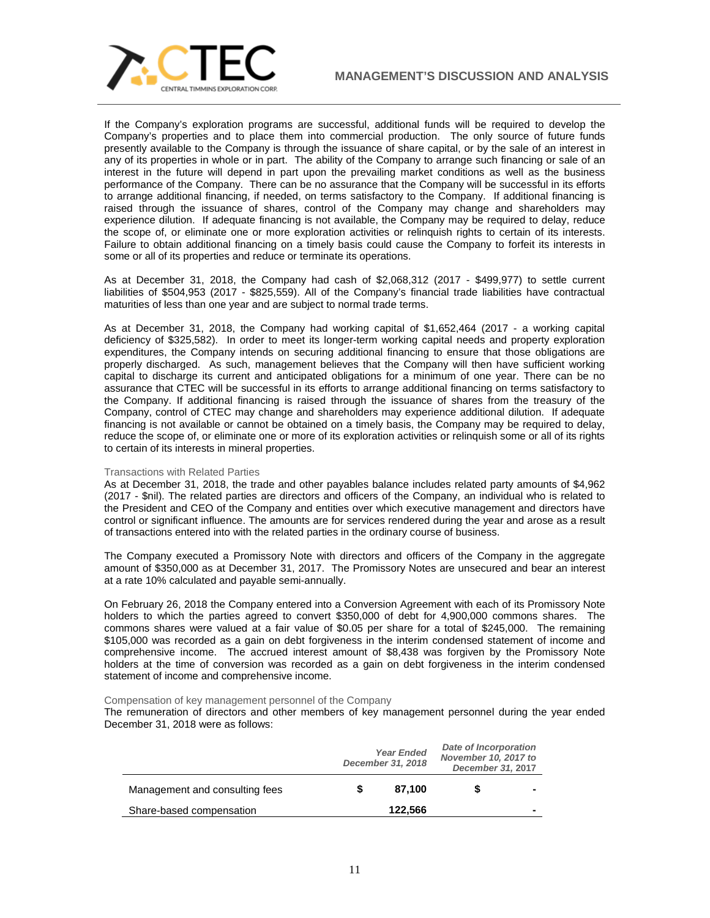

If the Company's exploration programs are successful, additional funds will be required to develop the Company's properties and to place them into commercial production. The only source of future funds presently available to the Company is through the issuance of share capital, or by the sale of an interest in any of its properties in whole or in part. The ability of the Company to arrange such financing or sale of an interest in the future will depend in part upon the prevailing market conditions as well as the business performance of the Company. There can be no assurance that the Company will be successful in its efforts to arrange additional financing, if needed, on terms satisfactory to the Company. If additional financing is raised through the issuance of shares, control of the Company may change and shareholders may experience dilution. If adequate financing is not available, the Company may be required to delay, reduce the scope of, or eliminate one or more exploration activities or relinquish rights to certain of its interests. Failure to obtain additional financing on a timely basis could cause the Company to forfeit its interests in some or all of its properties and reduce or terminate its operations.

As at December 31, 2018, the Company had cash of \$2,068,312 (2017 - \$499,977) to settle current liabilities of \$504,953 (2017 - \$825,559). All of the Company's financial trade liabilities have contractual maturities of less than one year and are subject to normal trade terms.

As at December 31, 2018, the Company had working capital of \$1,652,464 (2017 - a working capital deficiency of \$325,582). In order to meet its longer-term working capital needs and property exploration expenditures, the Company intends on securing additional financing to ensure that those obligations are properly discharged. As such, management believes that the Company will then have sufficient working capital to discharge its current and anticipated obligations for a minimum of one year. There can be no assurance that CTEC will be successful in its efforts to arrange additional financing on terms satisfactory to the Company. If additional financing is raised through the issuance of shares from the treasury of the Company, control of CTEC may change and shareholders may experience additional dilution. If adequate financing is not available or cannot be obtained on a timely basis, the Company may be required to delay, reduce the scope of, or eliminate one or more of its exploration activities or relinquish some or all of its rights to certain of its interests in mineral properties.

### Transactions with Related Parties

As at December 31, 2018, the trade and other payables balance includes related party amounts of \$4,962 (2017 - \$nil). The related parties are directors and officers of the Company, an individual who is related to the President and CEO of the Company and entities over which executive management and directors have control or significant influence. The amounts are for services rendered during the year and arose as a result of transactions entered into with the related parties in the ordinary course of business.

The Company executed a Promissory Note with directors and officers of the Company in the aggregate amount of \$350,000 as at December 31, 2017. The Promissory Notes are unsecured and bear an interest at a rate 10% calculated and payable semi-annually.

On February 26, 2018 the Company entered into a Conversion Agreement with each of its Promissory Note holders to which the parties agreed to convert \$350,000 of debt for 4,900,000 commons shares. The commons shares were valued at a fair value of \$0.05 per share for a total of \$245,000. The remaining \$105,000 was recorded as a gain on debt forgiveness in the interim condensed statement of income and comprehensive income. The accrued interest amount of \$8,438 was forgiven by the Promissory Note holders at the time of conversion was recorded as a gain on debt forgiveness in the interim condensed statement of income and comprehensive income.

#### Compensation of key management personnel of the Company

The remuneration of directors and other members of key management personnel during the year ended December 31, 2018 were as follows:

|                                | <b>Year Ended</b><br>December 31, 2018 | <b>Date of Incorporation</b><br>November 10, 2017 to<br>December 31, 2017 |                          |
|--------------------------------|----------------------------------------|---------------------------------------------------------------------------|--------------------------|
| Management and consulting fees | 87.100                                 |                                                                           |                          |
| Share-based compensation       | 122.566                                |                                                                           | $\overline{\phantom{a}}$ |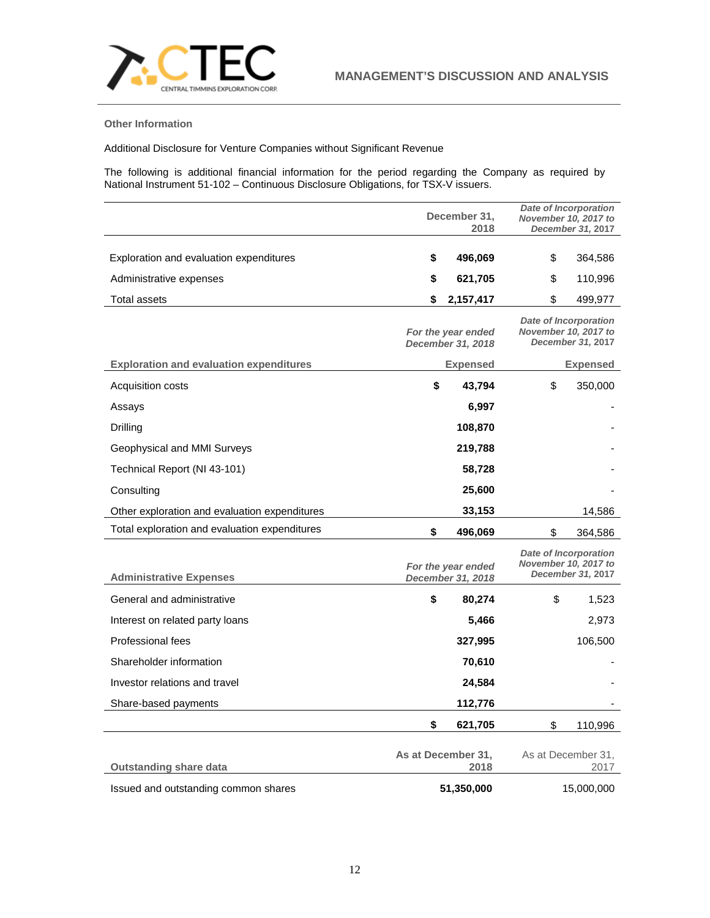

## **Other Information**

Additional Disclosure for Venture Companies without Significant Revenue

The following is additional financial information for the period regarding the Company as required by National Instrument 51-102 – Continuous Disclosure Obligations, for TSX-V issuers.

|                                                | December 31,<br>2018 |                                         | <b>Date of Incorporation</b><br>November 10, 2017 to<br><b>December 31, 2017</b> |                                                                                  |
|------------------------------------------------|----------------------|-----------------------------------------|----------------------------------------------------------------------------------|----------------------------------------------------------------------------------|
|                                                |                      |                                         |                                                                                  |                                                                                  |
| Exploration and evaluation expenditures        | \$                   | 496,069                                 | \$                                                                               | 364,586                                                                          |
| Administrative expenses                        | \$                   | 621,705                                 | \$                                                                               | 110,996                                                                          |
| <b>Total assets</b>                            | \$                   | 2,157,417                               | \$                                                                               | 499,977                                                                          |
|                                                |                      | For the year ended<br>December 31, 2018 |                                                                                  | <b>Date of Incorporation</b><br>November 10, 2017 to<br>December 31, 2017        |
| <b>Exploration and evaluation expenditures</b> |                      | <b>Expensed</b>                         |                                                                                  | <b>Expensed</b>                                                                  |
| Acquisition costs                              | \$                   | 43,794                                  | \$                                                                               | 350,000                                                                          |
| Assays                                         |                      | 6,997                                   |                                                                                  |                                                                                  |
| Drilling                                       |                      | 108,870                                 |                                                                                  |                                                                                  |
| Geophysical and MMI Surveys                    |                      | 219,788                                 |                                                                                  |                                                                                  |
| Technical Report (NI 43-101)                   |                      | 58,728                                  |                                                                                  |                                                                                  |
| Consulting                                     |                      | 25,600                                  |                                                                                  |                                                                                  |
| Other exploration and evaluation expenditures  |                      | 33,153                                  |                                                                                  | 14,586                                                                           |
| Total exploration and evaluation expenditures  | \$                   | 496,069                                 | \$                                                                               | 364,586                                                                          |
| <b>Administrative Expenses</b>                 |                      | For the year ended<br>December 31, 2018 |                                                                                  | <b>Date of Incorporation</b><br>November 10, 2017 to<br><b>December 31, 2017</b> |
| General and administrative                     | \$                   | 80,274                                  | \$                                                                               | 1,523                                                                            |
| Interest on related party loans                |                      | 5,466                                   |                                                                                  | 2,973                                                                            |
| Professional fees                              |                      | 327,995                                 |                                                                                  | 106,500                                                                          |
| Shareholder information                        |                      | 70,610                                  |                                                                                  |                                                                                  |
| Investor relations and travel                  |                      | 24,584                                  |                                                                                  |                                                                                  |
| Share-based payments                           |                      | 112,776                                 |                                                                                  |                                                                                  |
|                                                | \$                   | 621,705                                 | \$                                                                               | 110,996                                                                          |
| <b>Outstanding share data</b>                  |                      | As at December 31,<br>2018              |                                                                                  | As at December 31,<br>2017                                                       |
| Issued and outstanding common shares           |                      | 51,350,000                              |                                                                                  | 15,000,000                                                                       |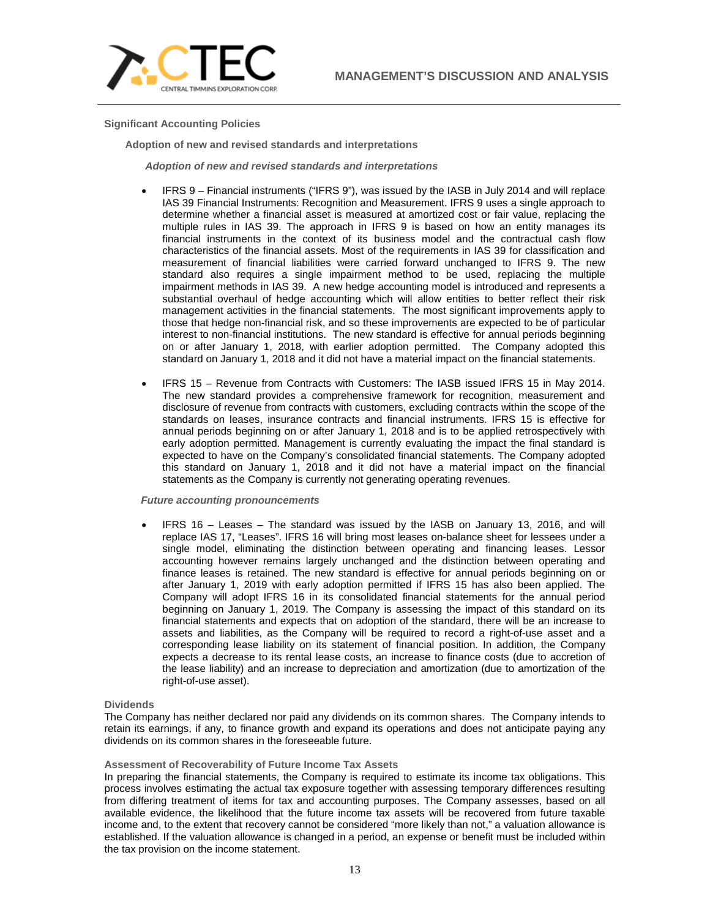

**Significant Accounting Policies**

**Adoption of new and revised standards and interpretations**

*Adoption of new and revised standards and interpretations*

- IFRS 9 Financial instruments ("IFRS 9"), was issued by the IASB in July 2014 and will replace IAS 39 Financial Instruments: Recognition and Measurement. IFRS 9 uses a single approach to determine whether a financial asset is measured at amortized cost or fair value, replacing the multiple rules in IAS 39. The approach in IFRS 9 is based on how an entity manages its financial instruments in the context of its business model and the contractual cash flow characteristics of the financial assets. Most of the requirements in IAS 39 for classification and measurement of financial liabilities were carried forward unchanged to IFRS 9. The new standard also requires a single impairment method to be used, replacing the multiple impairment methods in IAS 39. A new hedge accounting model is introduced and represents a substantial overhaul of hedge accounting which will allow entities to better reflect their risk management activities in the financial statements. The most significant improvements apply to those that hedge non-financial risk, and so these improvements are expected to be of particular interest to non-financial institutions. The new standard is effective for annual periods beginning on or after January 1, 2018, with earlier adoption permitted. The Company adopted this standard on January 1, 2018 and it did not have a material impact on the financial statements.
- IFRS 15 Revenue from Contracts with Customers: The IASB issued IFRS 15 in May 2014. The new standard provides a comprehensive framework for recognition, measurement and disclosure of revenue from contracts with customers, excluding contracts within the scope of the standards on leases, insurance contracts and financial instruments. IFRS 15 is effective for annual periods beginning on or after January 1, 2018 and is to be applied retrospectively with early adoption permitted. Management is currently evaluating the impact the final standard is expected to have on the Company's consolidated financial statements. The Company adopted this standard on January 1, 2018 and it did not have a material impact on the financial statements as the Company is currently not generating operating revenues.

## *Future accounting pronouncements*

• IFRS 16 – Leases – The standard was issued by the IASB on January 13, 2016, and will replace IAS 17, "Leases". IFRS 16 will bring most leases on-balance sheet for lessees under a single model, eliminating the distinction between operating and financing leases. Lessor accounting however remains largely unchanged and the distinction between operating and finance leases is retained. The new standard is effective for annual periods beginning on or after January 1, 2019 with early adoption permitted if IFRS 15 has also been applied. The Company will adopt IFRS 16 in its consolidated financial statements for the annual period beginning on January 1, 2019. The Company is assessing the impact of this standard on its financial statements and expects that on adoption of the standard, there will be an increase to assets and liabilities, as the Company will be required to record a right-of-use asset and a corresponding lease liability on its statement of financial position. In addition, the Company expects a decrease to its rental lease costs, an increase to finance costs (due to accretion of the lease liability) and an increase to depreciation and amortization (due to amortization of the right-of-use asset).

### **Dividends**

The Company has neither declared nor paid any dividends on its common shares. The Company intends to retain its earnings, if any, to finance growth and expand its operations and does not anticipate paying any dividends on its common shares in the foreseeable future.

### **Assessment of Recoverability of Future Income Tax Assets**

In preparing the financial statements, the Company is required to estimate its income tax obligations. This process involves estimating the actual tax exposure together with assessing temporary differences resulting from differing treatment of items for tax and accounting purposes. The Company assesses, based on all available evidence, the likelihood that the future income tax assets will be recovered from future taxable income and, to the extent that recovery cannot be considered "more likely than not," a valuation allowance is established. If the valuation allowance is changed in a period, an expense or benefit must be included within the tax provision on the income statement.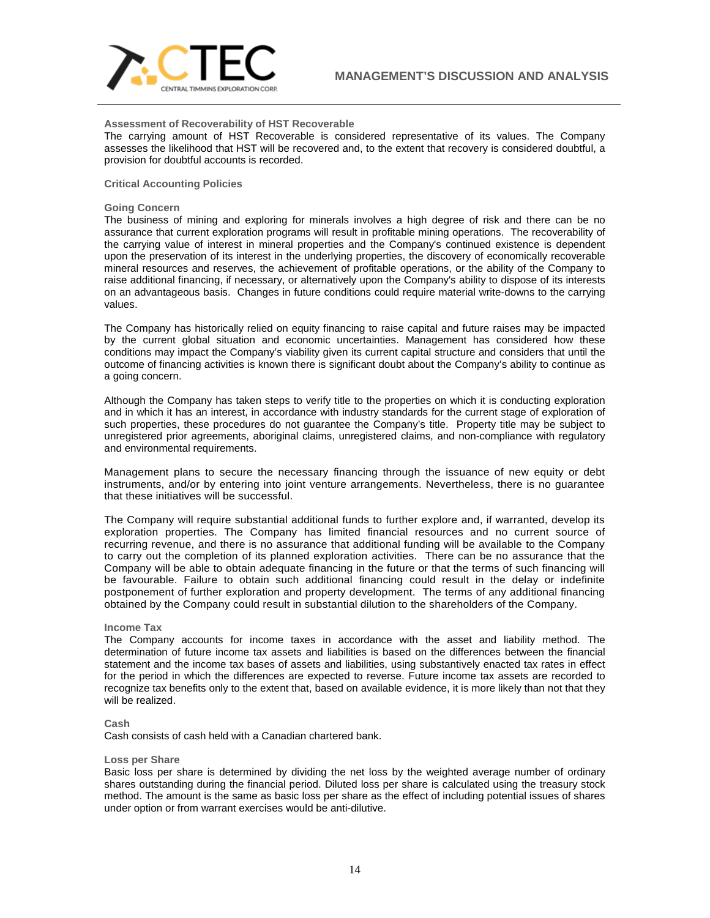

### **Assessment of Recoverability of HST Recoverable**

The carrying amount of HST Recoverable is considered representative of its values. The Company assesses the likelihood that HST will be recovered and, to the extent that recovery is considered doubtful, a provision for doubtful accounts is recorded.

## **Critical Accounting Policies**

### **Going Concern**

The business of mining and exploring for minerals involves a high degree of risk and there can be no assurance that current exploration programs will result in profitable mining operations. The recoverability of the carrying value of interest in mineral properties and the Company's continued existence is dependent upon the preservation of its interest in the underlying properties, the discovery of economically recoverable mineral resources and reserves, the achievement of profitable operations, or the ability of the Company to raise additional financing, if necessary, or alternatively upon the Company's ability to dispose of its interests on an advantageous basis. Changes in future conditions could require material write-downs to the carrying values.

The Company has historically relied on equity financing to raise capital and future raises may be impacted by the current global situation and economic uncertainties. Management has considered how these conditions may impact the Company's viability given its current capital structure and considers that until the outcome of financing activities is known there is significant doubt about the Company's ability to continue as a going concern.

Although the Company has taken steps to verify title to the properties on which it is conducting exploration and in which it has an interest, in accordance with industry standards for the current stage of exploration of such properties, these procedures do not guarantee the Company's title. Property title may be subject to unregistered prior agreements, aboriginal claims, unregistered claims, and non-compliance with regulatory and environmental requirements.

Management plans to secure the necessary financing through the issuance of new equity or debt instruments, and/or by entering into joint venture arrangements. Nevertheless, there is no guarantee that these initiatives will be successful.

The Company will require substantial additional funds to further explore and, if warranted, develop its exploration properties. The Company has limited financial resources and no current source of recurring revenue, and there is no assurance that additional funding will be available to the Company to carry out the completion of its planned exploration activities. There can be no assurance that the Company will be able to obtain adequate financing in the future or that the terms of such financing will be favourable. Failure to obtain such additional financing could result in the delay or indefinite postponement of further exploration and property development. The terms of any additional financing obtained by the Company could result in substantial dilution to the shareholders of the Company.

#### **Income Tax**

The Company accounts for income taxes in accordance with the asset and liability method. The determination of future income tax assets and liabilities is based on the differences between the financial statement and the income tax bases of assets and liabilities, using substantively enacted tax rates in effect for the period in which the differences are expected to reverse. Future income tax assets are recorded to recognize tax benefits only to the extent that, based on available evidence, it is more likely than not that they will be realized.

#### **Cash**

Cash consists of cash held with a Canadian chartered bank.

#### **Loss per Share**

Basic loss per share is determined by dividing the net loss by the weighted average number of ordinary shares outstanding during the financial period. Diluted loss per share is calculated using the treasury stock method. The amount is the same as basic loss per share as the effect of including potential issues of shares under option or from warrant exercises would be anti-dilutive.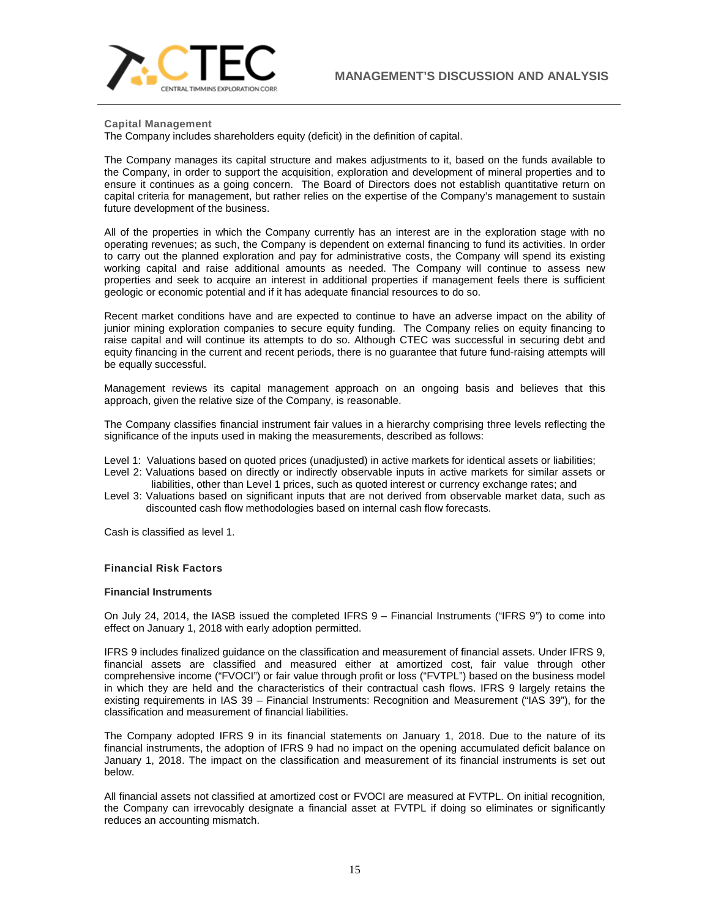

**Capital Management**

The Company includes shareholders equity (deficit) in the definition of capital.

The Company manages its capital structure and makes adjustments to it, based on the funds available to the Company, in order to support the acquisition, exploration and development of mineral properties and to ensure it continues as a going concern. The Board of Directors does not establish quantitative return on capital criteria for management, but rather relies on the expertise of the Company's management to sustain future development of the business.

All of the properties in which the Company currently has an interest are in the exploration stage with no operating revenues; as such, the Company is dependent on external financing to fund its activities. In order to carry out the planned exploration and pay for administrative costs, the Company will spend its existing working capital and raise additional amounts as needed. The Company will continue to assess new properties and seek to acquire an interest in additional properties if management feels there is sufficient geologic or economic potential and if it has adequate financial resources to do so.

Recent market conditions have and are expected to continue to have an adverse impact on the ability of junior mining exploration companies to secure equity funding. The Company relies on equity financing to raise capital and will continue its attempts to do so. Although CTEC was successful in securing debt and equity financing in the current and recent periods, there is no guarantee that future fund-raising attempts will be equally successful.

Management reviews its capital management approach on an ongoing basis and believes that this approach, given the relative size of the Company, is reasonable.

The Company classifies financial instrument fair values in a hierarchy comprising three levels reflecting the significance of the inputs used in making the measurements, described as follows:

- Level 1: Valuations based on quoted prices (unadjusted) in active markets for identical assets or liabilities; Level 2: Valuations based on directly or indirectly observable inputs in active markets for similar assets or
- liabilities, other than Level 1 prices, such as quoted interest or currency exchange rates; and
- Level 3: Valuations based on significant inputs that are not derived from observable market data, such as discounted cash flow methodologies based on internal cash flow forecasts.

Cash is classified as level 1.

## **Financial Risk Factors**

## **Financial Instruments**

On July 24, 2014, the IASB issued the completed IFRS 9 – Financial Instruments ("IFRS 9") to come into effect on January 1, 2018 with early adoption permitted.

IFRS 9 includes finalized guidance on the classification and measurement of financial assets. Under IFRS 9, financial assets are classified and measured either at amortized cost, fair value through other comprehensive income ("FVOCI") or fair value through profit or loss ("FVTPL") based on the business model in which they are held and the characteristics of their contractual cash flows. IFRS 9 largely retains the existing requirements in IAS 39 – Financial Instruments: Recognition and Measurement ("IAS 39"), for the classification and measurement of financial liabilities.

The Company adopted IFRS 9 in its financial statements on January 1, 2018. Due to the nature of its financial instruments, the adoption of IFRS 9 had no impact on the opening accumulated deficit balance on January 1, 2018. The impact on the classification and measurement of its financial instruments is set out below.

All financial assets not classified at amortized cost or FVOCI are measured at FVTPL. On initial recognition, the Company can irrevocably designate a financial asset at FVTPL if doing so eliminates or significantly reduces an accounting mismatch.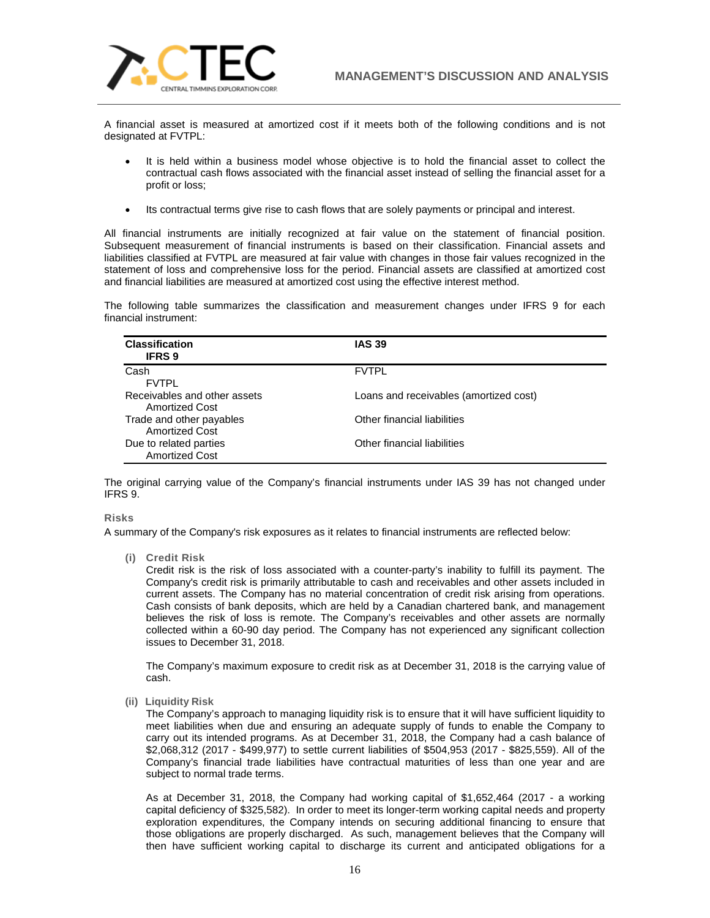

A financial asset is measured at amortized cost if it meets both of the following conditions and is not designated at FVTPL:

- It is held within a business model whose objective is to hold the financial asset to collect the contractual cash flows associated with the financial asset instead of selling the financial asset for a profit or loss;
- Its contractual terms give rise to cash flows that are solely payments or principal and interest.

All financial instruments are initially recognized at fair value on the statement of financial position. Subsequent measurement of financial instruments is based on their classification. Financial assets and liabilities classified at FVTPL are measured at fair value with changes in those fair values recognized in the statement of loss and comprehensive loss for the period. Financial assets are classified at amortized cost and financial liabilities are measured at amortized cost using the effective interest method.

The following table summarizes the classification and measurement changes under IFRS 9 for each financial instrument:

| <b>Classification</b><br><b>IFRS 9</b>                | <b>IAS 39</b>                          |
|-------------------------------------------------------|----------------------------------------|
| Cash<br><b>FVTPL</b>                                  | <b>FVTPL</b>                           |
| Receivables and other assets<br><b>Amortized Cost</b> | Loans and receivables (amortized cost) |
| Trade and other payables<br><b>Amortized Cost</b>     | Other financial liabilities            |
| Due to related parties<br><b>Amortized Cost</b>       | Other financial liabilities            |

The original carrying value of the Company's financial instruments under IAS 39 has not changed under IFRS 9.

## **Risks**

A summary of the Company's risk exposures as it relates to financial instruments are reflected below:

**(i) Credit Risk**

Credit risk is the risk of loss associated with a counter-party's inability to fulfill its payment. The Company's credit risk is primarily attributable to cash and receivables and other assets included in current assets. The Company has no material concentration of credit risk arising from operations. Cash consists of bank deposits, which are held by a Canadian chartered bank, and management believes the risk of loss is remote. The Company's receivables and other assets are normally collected within a 60-90 day period. The Company has not experienced any significant collection issues to December 31, 2018.

The Company's maximum exposure to credit risk as at December 31, 2018 is the carrying value of cash.

**(ii) Liquidity Risk**

The Company's approach to managing liquidity risk is to ensure that it will have sufficient liquidity to meet liabilities when due and ensuring an adequate supply of funds to enable the Company to carry out its intended programs. As at December 31, 2018, the Company had a cash balance of \$2,068,312 (2017 - \$499,977) to settle current liabilities of \$504,953 (2017 - \$825,559). All of the Company's financial trade liabilities have contractual maturities of less than one year and are subject to normal trade terms.

As at December 31, 2018, the Company had working capital of \$1,652,464 (2017 - a working capital deficiency of \$325,582). In order to meet its longer-term working capital needs and property exploration expenditures, the Company intends on securing additional financing to ensure that those obligations are properly discharged. As such, management believes that the Company will then have sufficient working capital to discharge its current and anticipated obligations for a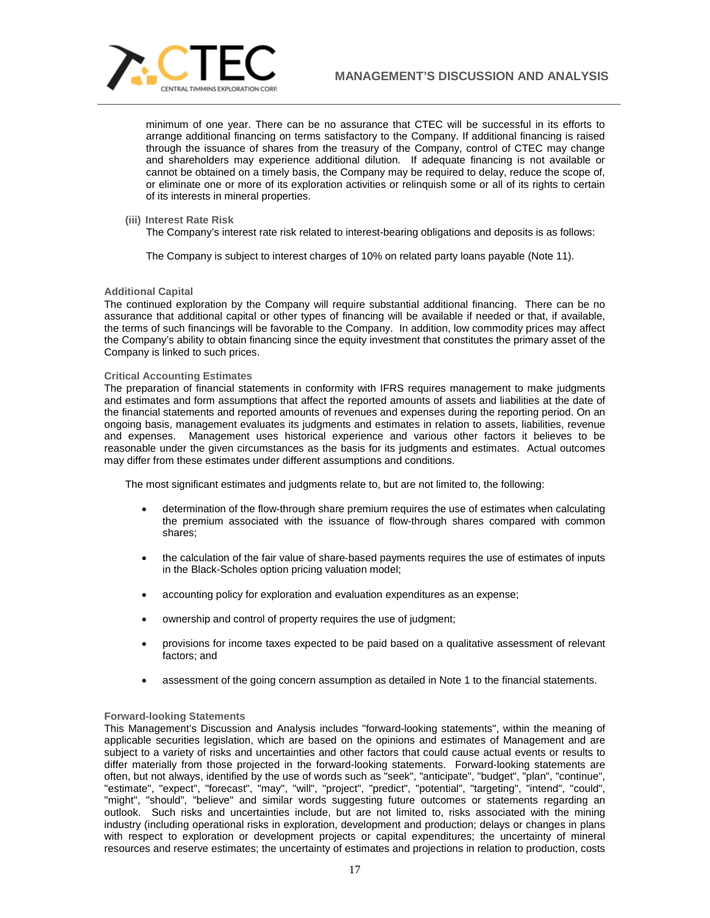

minimum of one year. There can be no assurance that CTEC will be successful in its efforts to arrange additional financing on terms satisfactory to the Company. If additional financing is raised through the issuance of shares from the treasury of the Company, control of CTEC may change and shareholders may experience additional dilution. If adequate financing is not available or cannot be obtained on a timely basis, the Company may be required to delay, reduce the scope of, or eliminate one or more of its exploration activities or relinquish some or all of its rights to certain of its interests in mineral properties.

**(iii) Interest Rate Risk**

The Company's interest rate risk related to interest-bearing obligations and deposits is as follows:

The Company is subject to interest charges of 10% on related party loans payable (Note 11).

## **Additional Capital**

The continued exploration by the Company will require substantial additional financing. There can be no assurance that additional capital or other types of financing will be available if needed or that, if available, the terms of such financings will be favorable to the Company. In addition, low commodity prices may affect the Company's ability to obtain financing since the equity investment that constitutes the primary asset of the Company is linked to such prices.

## **Critical Accounting Estimates**

The preparation of financial statements in conformity with IFRS requires management to make judgments and estimates and form assumptions that affect the reported amounts of assets and liabilities at the date of the financial statements and reported amounts of revenues and expenses during the reporting period. On an ongoing basis, management evaluates its judgments and estimates in relation to assets, liabilities, revenue and expenses. Management uses historical experience and various other factors it believes to be reasonable under the given circumstances as the basis for its judgments and estimates. Actual outcomes may differ from these estimates under different assumptions and conditions.

The most significant estimates and judgments relate to, but are not limited to, the following:

- determination of the flow-through share premium requires the use of estimates when calculating the premium associated with the issuance of flow-through shares compared with common shares;
- the calculation of the fair value of share‐based payments requires the use of estimates of inputs in the Black-Scholes option pricing valuation model;
- accounting policy for exploration and evaluation expenditures as an expense;
- ownership and control of property requires the use of judgment;
- provisions for income taxes expected to be paid based on a qualitative assessment of relevant factors; and
- assessment of the going concern assumption as detailed in Note 1 to the financial statements.

### **Forward-looking Statements**

This Management's Discussion and Analysis includes "forward-looking statements", within the meaning of applicable securities legislation, which are based on the opinions and estimates of Management and are subject to a variety of risks and uncertainties and other factors that could cause actual events or results to differ materially from those projected in the forward-looking statements. Forward-looking statements are often, but not always, identified by the use of words such as "seek", "anticipate", "budget", "plan", "continue", "estimate", "expect", "forecast", "may", "will", "project", "predict", "potential", "targeting", "intend", "could", "might", "should", "believe" and similar words suggesting future outcomes or statements regarding an outlook. Such risks and uncertainties include, but are not limited to, risks associated with the mining industry (including operational risks in exploration, development and production; delays or changes in plans with respect to exploration or development projects or capital expenditures; the uncertainty of mineral resources and reserve estimates; the uncertainty of estimates and projections in relation to production, costs